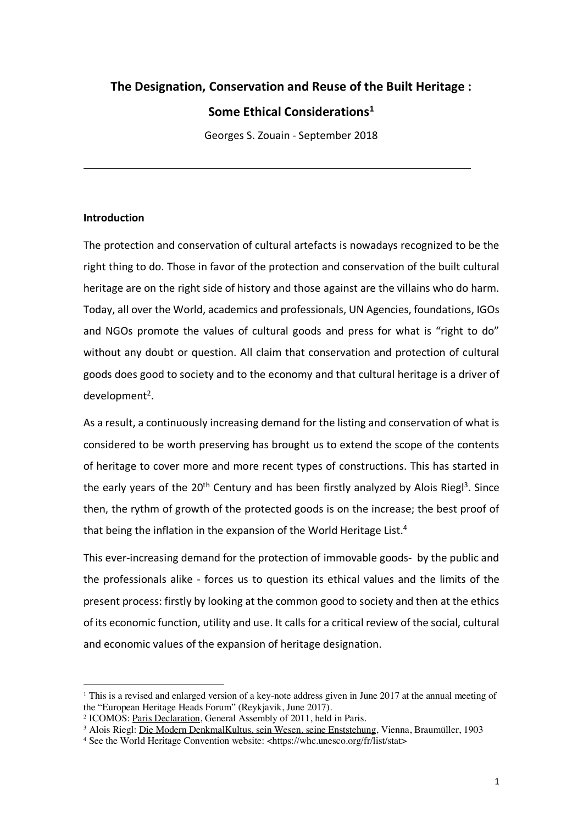# **The Designation, Conservation and Reuse of the Built Heritage : Some Ethical Considerations1**

Georges S. Zouain - September 2018

### **Introduction**

 $\overline{a}$ 

The protection and conservation of cultural artefacts is nowadays recognized to be the right thing to do. Those in favor of the protection and conservation of the built cultural heritage are on the right side of history and those against are the villains who do harm. Today, all over the World, academics and professionals, UN Agencies, foundations, IGOs and NGOs promote the values of cultural goods and press for what is "right to do" without any doubt or question. All claim that conservation and protection of cultural goods does good to society and to the economy and that cultural heritage is a driver of development<sup>2</sup>.

As a result, a continuously increasing demand for the listing and conservation of what is considered to be worth preserving has brought us to extend the scope of the contents of heritage to cover more and more recent types of constructions. This has started in the early years of the  $20<sup>th</sup>$  Century and has been firstly analyzed by Alois Riegl<sup>3</sup>. Since then, the rythm of growth of the protected goods is on the increase; the best proof of that being the inflation in the expansion of the World Heritage List.<sup>4</sup>

This ever-increasing demand for the protection of immovable goods- by the public and the professionals alike - forces us to question its ethical values and the limits of the present process: firstly by looking at the common good to society and then at the ethics of its economic function, utility and use. It calls for a critical review of the social, cultural and economic values of the expansion of heritage designation.

<sup>&</sup>lt;sup>1</sup> This is a revised and enlarged version of a key-note address given in June 2017 at the annual meeting of the "European Heritage Heads Forum" (Reykjavik, June 2017).

<sup>2</sup> ICOMOS: Paris Declaration, General Assembly of 2011, held in Paris.

<sup>&</sup>lt;sup>3</sup> Alois Riegl: Die Modern DenkmalKultus, sein Wesen, seine Enststehung, Vienna, Braumüller, 1903

<sup>4</sup> See the World Heritage Convention website: <https://whc.unesco.org/fr/list/stat>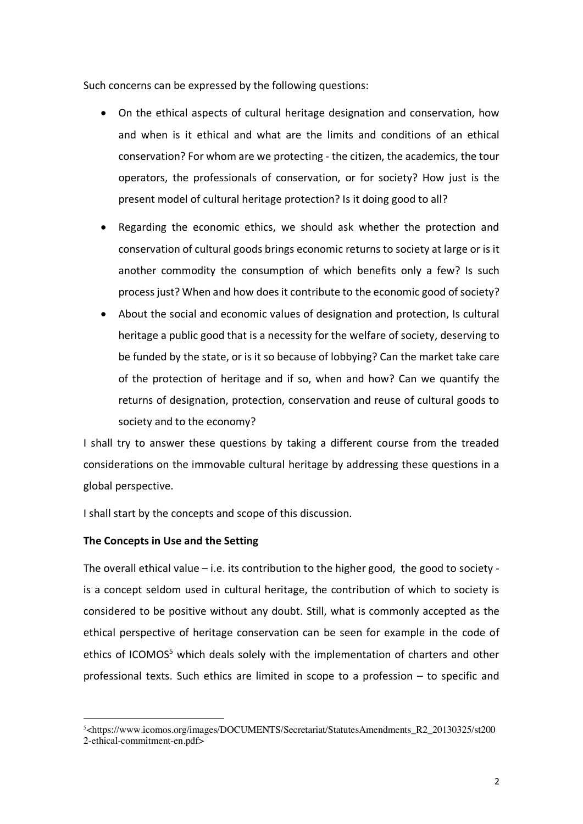Such concerns can be expressed by the following questions:

- On the ethical aspects of cultural heritage designation and conservation, how and when is it ethical and what are the limits and conditions of an ethical conservation? For whom are we protecting - the citizen, the academics, the tour operators, the professionals of conservation, or for society? How just is the present model of cultural heritage protection? Is it doing good to all?
- Regarding the economic ethics, we should ask whether the protection and conservation of cultural goods brings economic returns to society at large or is it another commodity the consumption of which benefits only a few? Is such process just? When and how does it contribute to the economic good of society?
- About the social and economic values of designation and protection, Is cultural heritage a public good that is a necessity for the welfare of society, deserving to be funded by the state, or is it so because of lobbying? Can the market take care of the protection of heritage and if so, when and how? Can we quantify the returns of designation, protection, conservation and reuse of cultural goods to society and to the economy?

I shall try to answer these questions by taking a different course from the treaded considerations on the immovable cultural heritage by addressing these questions in a global perspective.

I shall start by the concepts and scope of this discussion.

### **The Concepts in Use and the Setting**

 $\overline{a}$ 

The overall ethical value – i.e. its contribution to the higher good, the good to society is a concept seldom used in cultural heritage, the contribution of which to society is considered to be positive without any doubt. Still, what is commonly accepted as the ethical perspective of heritage conservation can be seen for example in the code of ethics of ICOMOS<sup>5</sup> which deals solely with the implementation of charters and other professional texts. Such ethics are limited in scope to a profession – to specific and

<sup>5&</sup>lt;https://www.icomos.org/images/DOCUMENTS/Secretariat/StatutesAmendments\_R2\_20130325/st200 2-ethical-commitment-en.pdf>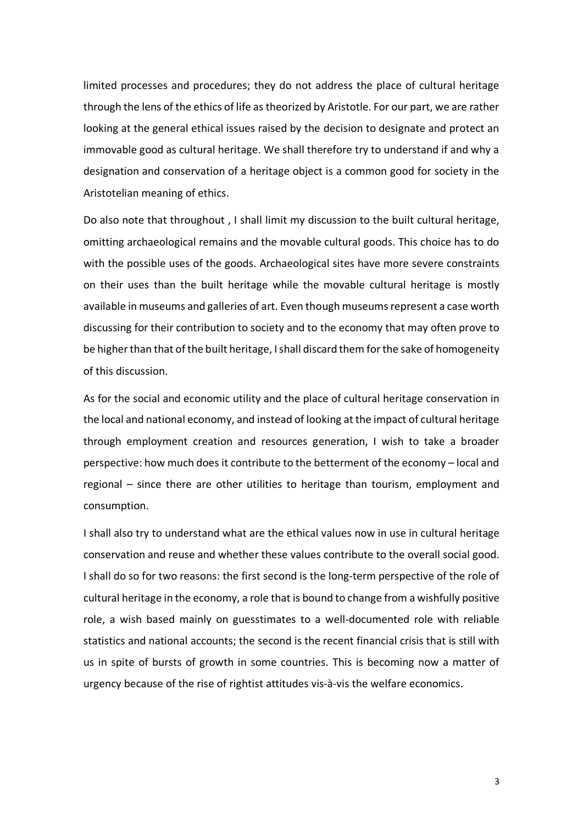limited processes and procedures; they do not address the place of cultural heritage through the lens of the ethics of life as theorized by Aristotle. For our part, we are rather looking at the general ethical issues raised by the decision to designate and protect an immovable good as cultural heritage. We shall therefore try to understand if and why a designation and conservation of a heritage object is a common good for society in the Aristotelian meaning of ethics.

Do also note that throughout , I shall limit my discussion to the built cultural heritage, omitting archaeological remains and the movable cultural goods. This choice has to do with the possible uses of the goods. Archaeological sites have more severe constraints on their uses than the built heritage while the movable cultural heritage is mostly available in museums and galleries of art. Even though museums represent a case worth discussing for their contribution to society and to the economy that may often prove to be higher than that of the built heritage, I shall discard them for the sake of homogeneity of this discussion.

As for the social and economic utility and the place of cultural heritage conservation in the local and national economy, and instead of looking at the impact of cultural heritage through employment creation and resources generation, I wish to take a broader perspective: how much does it contribute to the betterment of the economy – local and regional – since there are other utilities to heritage than tourism, employment and consumption.

I shall also try to understand what are the ethical values now in use in cultural heritage conservation and reuse and whether these values contribute to the overall social good. I shall do so for two reasons: the first second is the long-term perspective of the role of cultural heritage in the economy, a role that is bound to change from a wishfully positive role, a wish based mainly on guesstimates to a well-documented role with reliable statistics and national accounts; the second is the recent financial crisis that is still with us in spite of bursts of growth in some countries. This is becoming now a matter of urgency because of the rise of rightist attitudes vis-à-vis the welfare economics.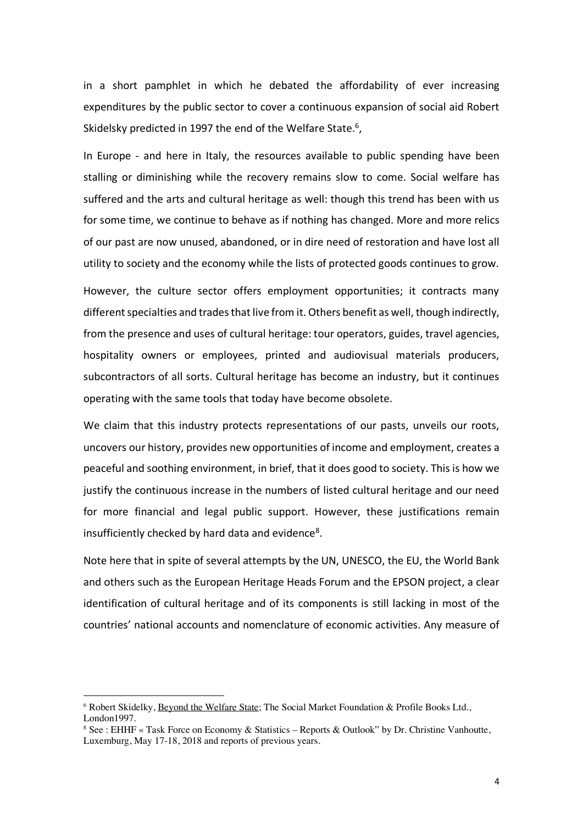in a short pamphlet in which he debated the affordability of ever increasing expenditures by the public sector to cover a continuous expansion of social aid Robert Skidelsky predicted in 1997 the end of the Welfare State.<sup>6</sup>,

In Europe - and here in Italy, the resources available to public spending have been stalling or diminishing while the recovery remains slow to come. Social welfare has suffered and the arts and cultural heritage as well: though this trend has been with us for some time, we continue to behave as if nothing has changed. More and more relics of our past are now unused, abandoned, or in dire need of restoration and have lost all utility to society and the economy while the lists of protected goods continues to grow.

However, the culture sector offers employment opportunities; it contracts many different specialties and trades that live from it. Others benefit as well, though indirectly, from the presence and uses of cultural heritage: tour operators, guides, travel agencies, hospitality owners or employees, printed and audiovisual materials producers, subcontractors of all sorts. Cultural heritage has become an industry, but it continues operating with the same tools that today have become obsolete.

We claim that this industry protects representations of our pasts, unveils our roots, uncovers our history, provides new opportunities of income and employment, creates a peaceful and soothing environment, in brief, that it does good to society. This is how we justify the continuous increase in the numbers of listed cultural heritage and our need for more financial and legal public support. However, these justifications remain insufficiently checked by hard data and evidence<sup>8</sup>.

Note here that in spite of several attempts by the UN, UNESCO, the EU, the World Bank and others such as the European Heritage Heads Forum and the EPSON project, a clear identification of cultural heritage and of its components is still lacking in most of the countries' national accounts and nomenclature of economic activities. Any measure of

<sup>6</sup> Robert Skidelky, Beyond the Welfare State; The Social Market Foundation & Profile Books Ltd., London1997.

<sup>&</sup>lt;sup>8</sup> See : EHHF « Task Force on Economy & Statistics – Reports & Outlook" by Dr. Christine Vanhoutte, Luxemburg, May 17-18, 2018 and reports of previous years.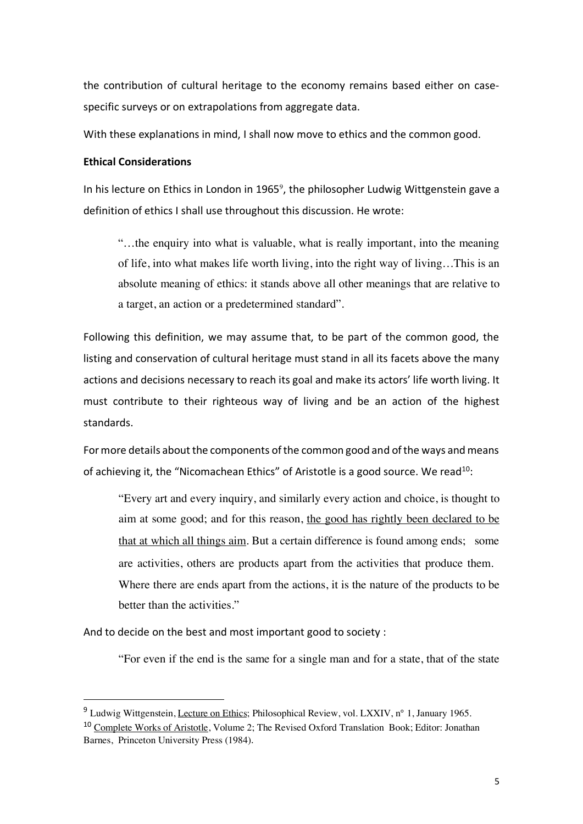the contribution of cultural heritage to the economy remains based either on casespecific surveys or on extrapolations from aggregate data.

With these explanations in mind, I shall now move to ethics and the common good.

### **Ethical Considerations**

In his lecture on Ethics in London in 1965<sup>9</sup>, the philosopher Ludwig Wittgenstein gave a definition of ethics I shall use throughout this discussion. He wrote:

"…the enquiry into what is valuable, what is really important, into the meaning of life, into what makes life worth living, into the right way of living…This is an absolute meaning of ethics: it stands above all other meanings that are relative to a target, an action or a predetermined standard".

Following this definition, we may assume that, to be part of the common good, the listing and conservation of cultural heritage must stand in all its facets above the many actions and decisions necessary to reach its goal and make its actors' life worth living. It must contribute to their righteous way of living and be an action of the highest standards.

For more details about the components of the common good and of the ways and means of achieving it, the "Nicomachean Ethics" of Aristotle is a good source. We read<sup>10</sup>:

"Every art and every inquiry, and similarly every action and choice, is thought to aim at some good; and for this reason, the good has rightly been declared to be that at which all things aim. But a certain difference is found among ends; some are activities, others are products apart from the activities that produce them. Where there are ends apart from the actions, it is the nature of the products to be better than the activities."

And to decide on the best and most important good to society :

"For even if the end is the same for a single man and for a state, that of the state

 <sup>9</sup> Ludwig Wittgenstein, Lecture on Ethics; Philosophical Review, vol. LXXIV, n° 1, January 1965.

<sup>&</sup>lt;sup>10</sup> Complete Works of Aristotle, Volume 2; The Revised Oxford Translation Book; Editor: Jonathan Barnes, Princeton University Press (1984).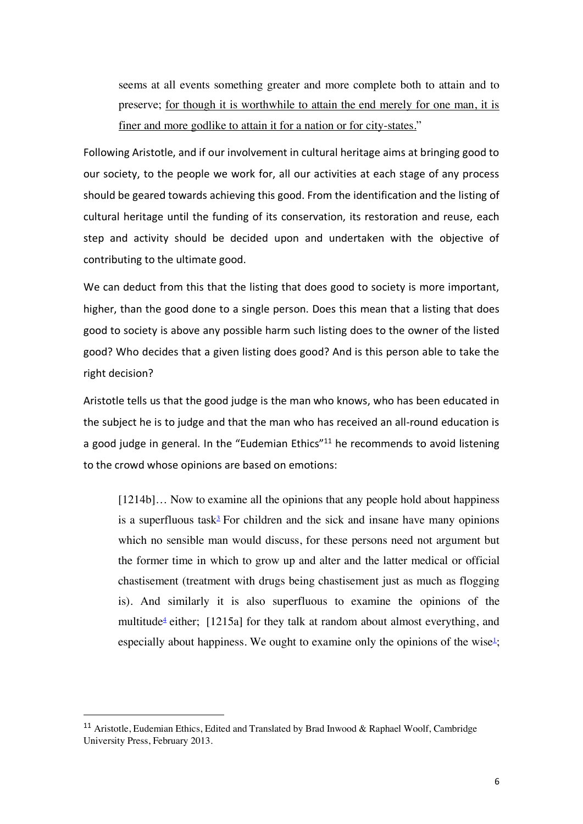seems at all events something greater and more complete both to attain and to preserve; for though it is worthwhile to attain the end merely for one man, it is finer and more godlike to attain it for a nation or for city-states."

Following Aristotle, and if our involvement in cultural heritage aims at bringing good to our society, to the people we work for, all our activities at each stage of any process should be geared towards achieving this good. From the identification and the listing of cultural heritage until the funding of its conservation, its restoration and reuse, each step and activity should be decided upon and undertaken with the objective of contributing to the ultimate good.

We can deduct from this that the listing that does good to society is more important, higher, than the good done to a single person. Does this mean that a listing that does good to society is above any possible harm such listing does to the owner of the listed good? Who decides that a given listing does good? And is this person able to take the right decision?

Aristotle tells us that the good judge is the man who knows, who has been educated in the subject he is to judge and that the man who has received an all-round education is a good judge in general. In the "Eudemian Ethics"<sup>11</sup> he recommends to avoid listening to the crowd whose opinions are based on emotions:

[1214b]… Now to examine all the opinions that any people hold about happiness is a superfluous task<sup> $3$ </sup> For children and the sick and insane have many opinions which no sensible man would discuss, for these persons need not argument but the former time in which to grow up and alter and the latter medical or official chastisement (treatment with drugs being chastisement just as much as flogging is). And similarly it is also superfluous to examine the opinions of the multitude<sup>4</sup> either; [1215a] for they talk at random about almost everything, and especially about happiness. We ought to examine only the opinions of the wise $l$ ;

<sup>&</sup>lt;sup>11</sup> Aristotle, Eudemian Ethics, Edited and Translated by Brad Inwood & Raphael Woolf, Cambridge University Press, February 2013.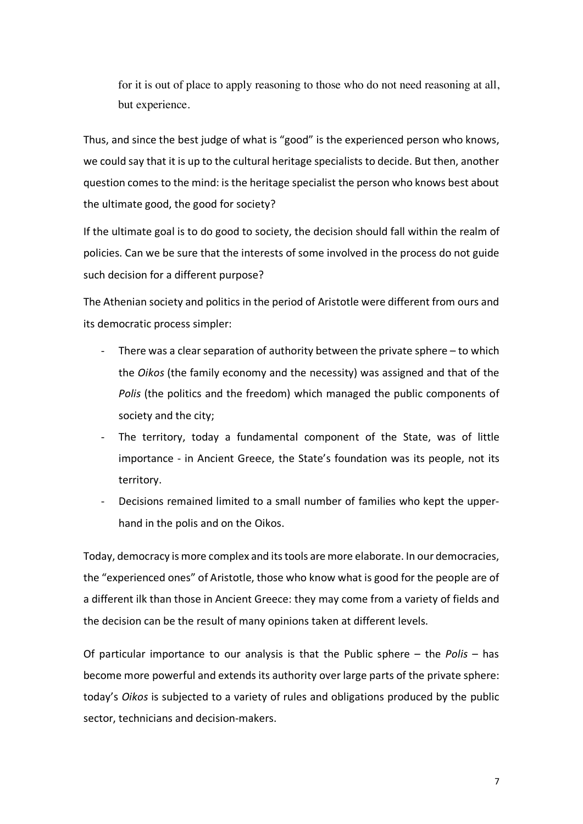for it is out of place to apply reasoning to those who do not need reasoning at all, but experience.

Thus, and since the best judge of what is "good" is the experienced person who knows, we could say that it is up to the cultural heritage specialists to decide. But then, another question comes to the mind: is the heritage specialist the person who knows best about the ultimate good, the good for society?

If the ultimate goal is to do good to society, the decision should fall within the realm of policies. Can we be sure that the interests of some involved in the process do not guide such decision for a different purpose?

The Athenian society and politics in the period of Aristotle were different from ours and its democratic process simpler:

- There was a clear separation of authority between the private sphere  $-$  to which the *Oikos* (the family economy and the necessity) was assigned and that of the *Polis* (the politics and the freedom) which managed the public components of society and the city;
- The territory, today a fundamental component of the State, was of little importance - in Ancient Greece, the State's foundation was its people, not its territory.
- Decisions remained limited to a small number of families who kept the upperhand in the polis and on the Oikos.

Today, democracy is more complex and its tools are more elaborate. In our democracies, the "experienced ones" of Aristotle, those who know what is good for the people are of a different ilk than those in Ancient Greece: they may come from a variety of fields and the decision can be the result of many opinions taken at different levels.

Of particular importance to our analysis is that the Public sphere – the *Polis* – has become more powerful and extends its authority over large parts of the private sphere: today's *Oikos* is subjected to a variety of rules and obligations produced by the public sector, technicians and decision-makers.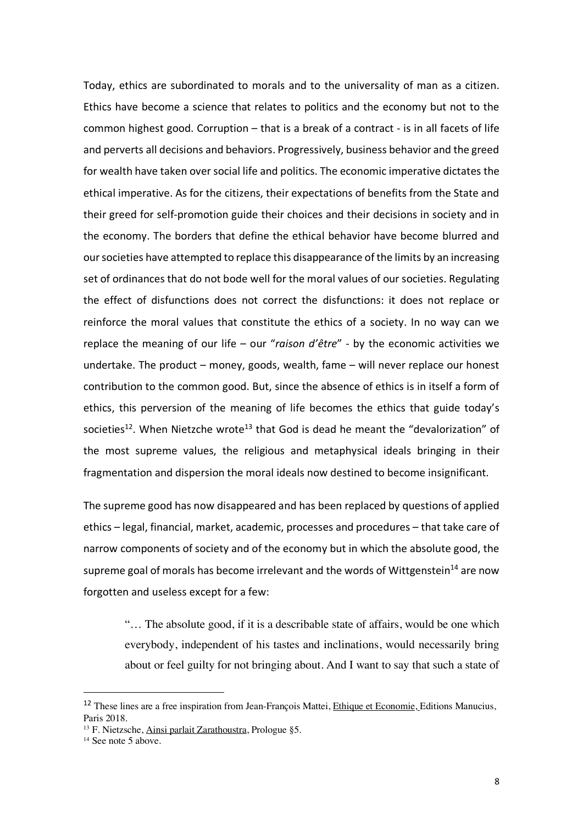Today, ethics are subordinated to morals and to the universality of man as a citizen. Ethics have become a science that relates to politics and the economy but not to the common highest good. Corruption – that is a break of a contract - is in all facets of life and perverts all decisions and behaviors. Progressively, business behavior and the greed for wealth have taken over social life and politics. The economic imperative dictates the ethical imperative. As for the citizens, their expectations of benefits from the State and their greed for self-promotion guide their choices and their decisions in society and in the economy. The borders that define the ethical behavior have become blurred and our societies have attempted to replace this disappearance of the limits by an increasing set of ordinances that do not bode well for the moral values of our societies. Regulating the effect of disfunctions does not correct the disfunctions: it does not replace or reinforce the moral values that constitute the ethics of a society. In no way can we replace the meaning of our life – our "*raison d'être*" - by the economic activities we undertake. The product – money, goods, wealth, fame – will never replace our honest contribution to the common good. But, since the absence of ethics is in itself a form of ethics, this perversion of the meaning of life becomes the ethics that guide today's societies<sup>12</sup>. When Nietzche wrote<sup>13</sup> that God is dead he meant the "devalorization" of the most supreme values, the religious and metaphysical ideals bringing in their fragmentation and dispersion the moral ideals now destined to become insignificant.

The supreme good has now disappeared and has been replaced by questions of applied ethics – legal, financial, market, academic, processes and procedures – that take care of narrow components of society and of the economy but in which the absolute good, the supreme goal of morals has become irrelevant and the words of Wittgenstein<sup>14</sup> are now forgotten and useless except for a few:

"… The absolute good, if it is a describable state of affairs, would be one which everybody, independent of his tastes and inclinations, would necessarily bring about or feel guilty for not bringing about. And I want to say that such a state of

<sup>&</sup>lt;sup>12</sup> These lines are a free inspiration from Jean-François Mattei, *Ethique et Economie*, Editions Manucius, Paris 2018.

<sup>13</sup> F. Nietzsche, Ainsi parlait Zarathoustra, Prologue §5.

<sup>&</sup>lt;sup>14</sup> See note 5 above.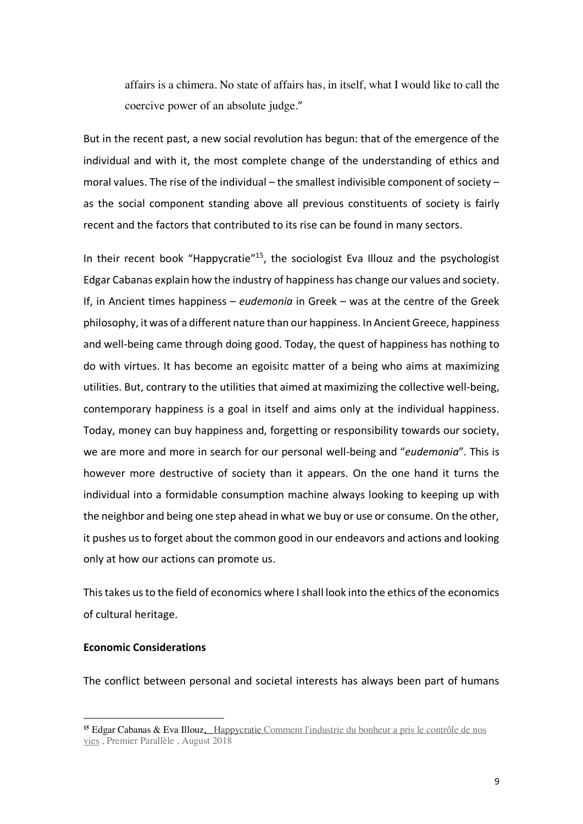affairs is a chimera. No state of affairs has, in itself, what I would like to call the coercive power of an absolute judge."

But in the recent past, a new social revolution has begun: that of the emergence of the individual and with it, the most complete change of the understanding of ethics and moral values. The rise of the individual – the smallest indivisible component of society – as the social component standing above all previous constituents of society is fairly recent and the factors that contributed to its rise can be found in many sectors.

In their recent book "Happycratie"<sup>15</sup>, the sociologist Eva Illouz and the psychologist Edgar Cabanas explain how the industry of happiness has change our values and society. If, in Ancient times happiness – *eudemonia* in Greek – was at the centre of the Greek philosophy, it was of a different nature than our happiness. In Ancient Greece, happiness and well-being came through doing good. Today, the quest of happiness has nothing to do with virtues. It has become an egoisitc matter of a being who aims at maximizing utilities. But, contrary to the utilities that aimed at maximizing the collective well-being, contemporary happiness is a goal in itself and aims only at the individual happiness. Today, money can buy happiness and, forgetting or responsibility towards our society, we are more and more in search for our personal well-being and "*eudemonia*". This is however more destructive of society than it appears. On the one hand it turns the individual into a formidable consumption machine always looking to keeping up with the neighbor and being one step ahead in what we buy or use or consume. On the other, it pushes us to forget about the common good in our endeavors and actions and looking only at how our actions can promote us.

Thistakes usto the field of economics where I shall look into the ethics of the economics of cultural heritage.

### **Economic Considerations**

 $\overline{a}$ 

The conflict between personal and societal interests has always been part of humans

<sup>&</sup>lt;sup>15</sup> Edgar Cabanas & Eva Illouz, Happycratie Comment l'industrie du bonheur a pris le contrôle de nos vies , Premier Parallèle , August 2018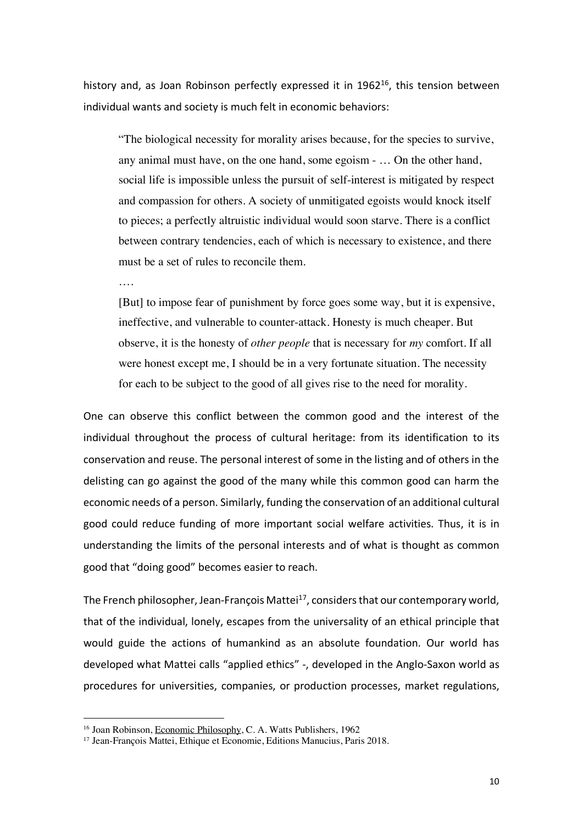history and, as Joan Robinson perfectly expressed it in  $1962^{16}$ , this tension between individual wants and society is much felt in economic behaviors:

"The biological necessity for morality arises because, for the species to survive, any animal must have, on the one hand, some egoism - … On the other hand, social life is impossible unless the pursuit of self-interest is mitigated by respect and compassion for others. A society of unmitigated egoists would knock itself to pieces; a perfectly altruistic individual would soon starve. There is a conflict between contrary tendencies, each of which is necessary to existence, and there must be a set of rules to reconcile them.

….

 $\overline{a}$ 

[But] to impose fear of punishment by force goes some way, but it is expensive, ineffective, and vulnerable to counter-attack. Honesty is much cheaper. But observe, it is the honesty of *other people* that is necessary for *my* comfort. If all were honest except me, I should be in a very fortunate situation. The necessity for each to be subject to the good of all gives rise to the need for morality.

One can observe this conflict between the common good and the interest of the individual throughout the process of cultural heritage: from its identification to its conservation and reuse. The personal interest of some in the listing and of others in the delisting can go against the good of the many while this common good can harm the economic needs of a person. Similarly, funding the conservation of an additional cultural good could reduce funding of more important social welfare activities. Thus, it is in understanding the limits of the personal interests and of what is thought as common good that "doing good" becomes easier to reach.

The French philosopher, Jean-François Mattei $17$ , considers that our contemporary world, that of the individual, lonely, escapes from the universality of an ethical principle that would guide the actions of humankind as an absolute foundation. Our world has developed what Mattei calls "applied ethics" -, developed in the Anglo-Saxon world as procedures for universities, companies, or production processes, market regulations,

<sup>&</sup>lt;sup>16</sup> Joan Robinson, Economic Philosophy, C. A. Watts Publishers, 1962

<sup>17</sup> Jean-François Mattei, Ethique et Economie, Editions Manucius, Paris 2018.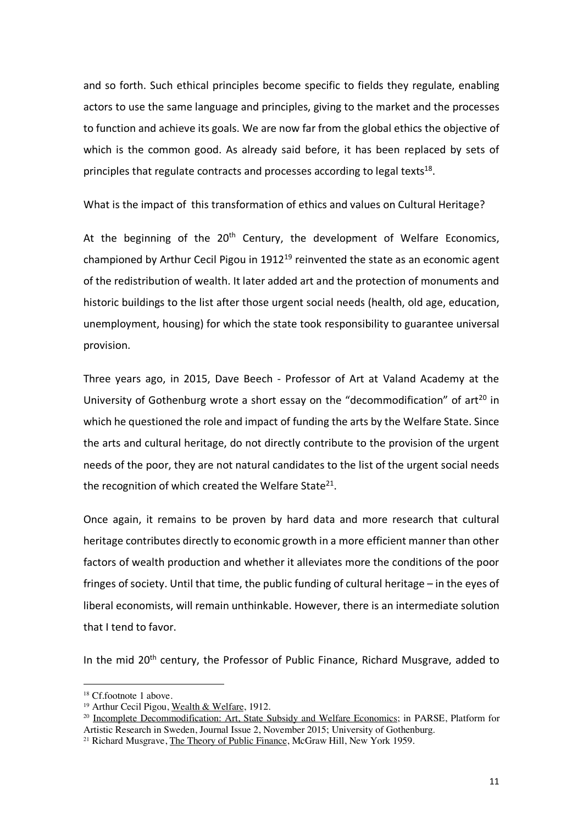and so forth. Such ethical principles become specific to fields they regulate, enabling actors to use the same language and principles, giving to the market and the processes to function and achieve its goals. We are now far from the global ethics the objective of which is the common good. As already said before, it has been replaced by sets of principles that regulate contracts and processes according to legal texts $^{18}$ .

What is the impact of this transformation of ethics and values on Cultural Heritage?

At the beginning of the  $20<sup>th</sup>$  Century, the development of Welfare Economics, championed by Arthur Cecil Pigou in  $1912^{19}$  reinvented the state as an economic agent of the redistribution of wealth. It later added art and the protection of monuments and historic buildings to the list after those urgent social needs (health, old age, education, unemployment, housing) for which the state took responsibility to guarantee universal provision.

Three years ago, in 2015, Dave Beech - Professor of Art at Valand Academy at the University of Gothenburg wrote a short essay on the "decommodification" of  $art^{20}$  in which he questioned the role and impact of funding the arts by the Welfare State. Since the arts and cultural heritage, do not directly contribute to the provision of the urgent needs of the poor, they are not natural candidates to the list of the urgent social needs the recognition of which created the Welfare State<sup>21</sup>.

Once again, it remains to be proven by hard data and more research that cultural heritage contributes directly to economic growth in a more efficient manner than other factors of wealth production and whether it alleviates more the conditions of the poor fringes of society. Until that time, the public funding of cultural heritage – in the eyes of liberal economists, will remain unthinkable. However, there is an intermediate solution that I tend to favor.

In the mid 20<sup>th</sup> century, the Professor of Public Finance, Richard Musgrave, added to

<sup>18</sup> Cf.footnote 1 above.

<sup>19</sup> Arthur Cecil Pigou, Wealth & Welfare, 1912.

<sup>&</sup>lt;sup>20</sup> Incomplete Decommodification: Art, State Subsidy and Welfare Economics; in PARSE, Platform for Artistic Research in Sweden, Journal Issue 2, November 2015; University of Gothenburg.

<sup>&</sup>lt;sup>21</sup> Richard Musgrave, The Theory of Public Finance, McGraw Hill, New York 1959.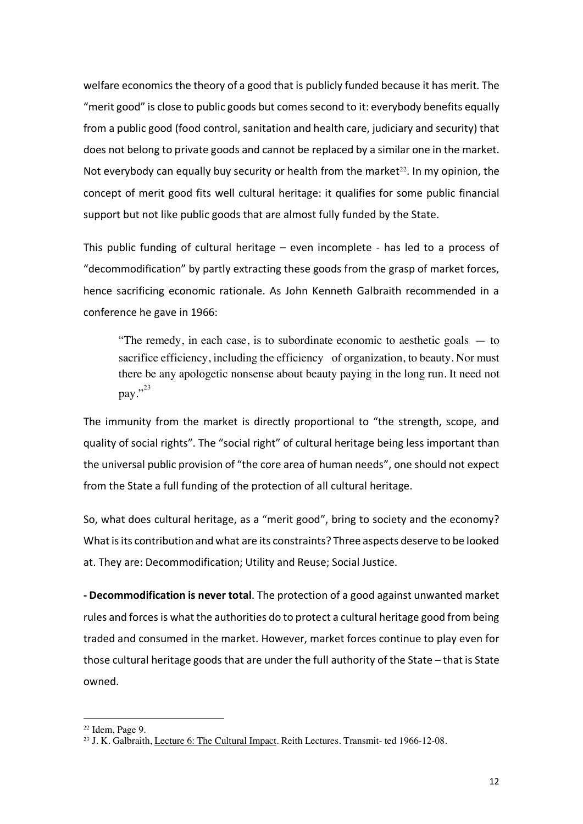welfare economics the theory of a good that is publicly funded because it has merit. The "merit good" is close to public goods but comes second to it: everybody benefits equally from a public good (food control, sanitation and health care, judiciary and security) that does not belong to private goods and cannot be replaced by a similar one in the market. Not everybody can equally buy security or health from the market<sup>22</sup>. In my opinion, the concept of merit good fits well cultural heritage: it qualifies for some public financial support but not like public goods that are almost fully funded by the State.

This public funding of cultural heritage – even incomplete - has led to a process of "decommodification" by partly extracting these goods from the grasp of market forces, hence sacrificing economic rationale. As John Kenneth Galbraith recommended in a conference he gave in 1966:

"The remedy, in each case, is to subordinate economic to aesthetic goals  $-$  to sacrifice efficiency, including the efficiency of organization, to beauty. Nor must there be any apologetic nonsense about beauty paying in the long run. It need not pay."<sup>23</sup>

The immunity from the market is directly proportional to "the strength, scope, and quality of social rights". The "social right" of cultural heritage being less important than the universal public provision of "the core area of human needs", one should not expect from the State a full funding of the protection of all cultural heritage.

So, what does cultural heritage, as a "merit good", bring to society and the economy? What is its contribution and what are its constraints? Three aspects deserve to be looked at. They are: Decommodification; Utility and Reuse; Social Justice.

**- Decommodification is never total**. The protection of a good against unwanted market rules and forces is what the authorities do to protect a cultural heritage good from being traded and consumed in the market. However, market forces continue to play even for those cultural heritage goods that are under the full authority of the State – that is State owned.

 $22$  Idem, Page 9.

<sup>&</sup>lt;sup>23</sup> J. K. Galbraith, Lecture 6: The Cultural Impact. Reith Lectures. Transmit- ted 1966-12-08.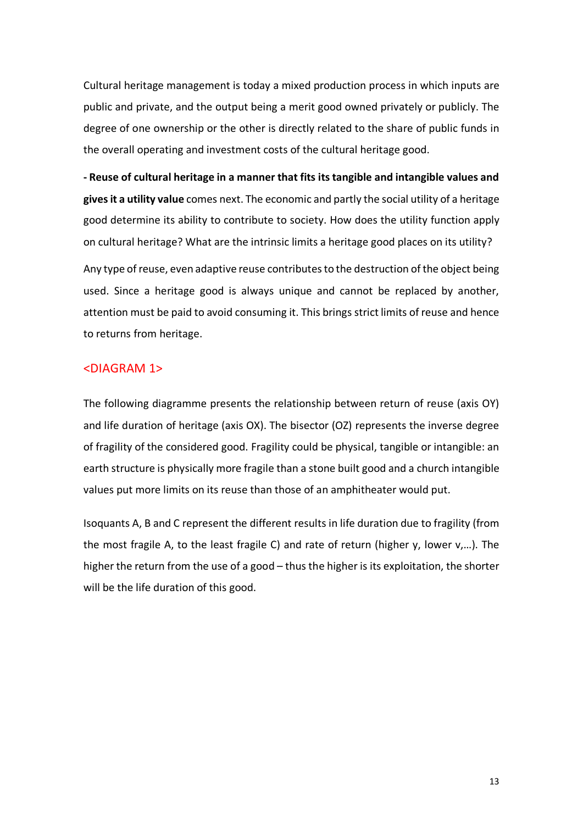Cultural heritage management is today a mixed production process in which inputs are public and private, and the output being a merit good owned privately or publicly. The degree of one ownership or the other is directly related to the share of public funds in the overall operating and investment costs of the cultural heritage good.

**- Reuse of cultural heritage in a manner that fits its tangible and intangible values and gives it a utility value** comes next. The economic and partly the social utility of a heritage good determine its ability to contribute to society. How does the utility function apply on cultural heritage? What are the intrinsic limits a heritage good places on its utility?

Any type of reuse, even adaptive reuse contributes to the destruction of the object being used. Since a heritage good is always unique and cannot be replaced by another, attention must be paid to avoid consuming it. This brings strict limits of reuse and hence to returns from heritage.

#### <DIAGRAM 1>

The following diagramme presents the relationship between return of reuse (axis OY) and life duration of heritage (axis OX). The bisector (OZ) represents the inverse degree of fragility of the considered good. Fragility could be physical, tangible or intangible: an earth structure is physically more fragile than a stone built good and a church intangible values put more limits on its reuse than those of an amphitheater would put.

Isoquants A, B and C represent the different results in life duration due to fragility (from the most fragile A, to the least fragile C) and rate of return (higher y, lower v,…). The higher the return from the use of a good – thus the higher is its exploitation, the shorter will be the life duration of this good.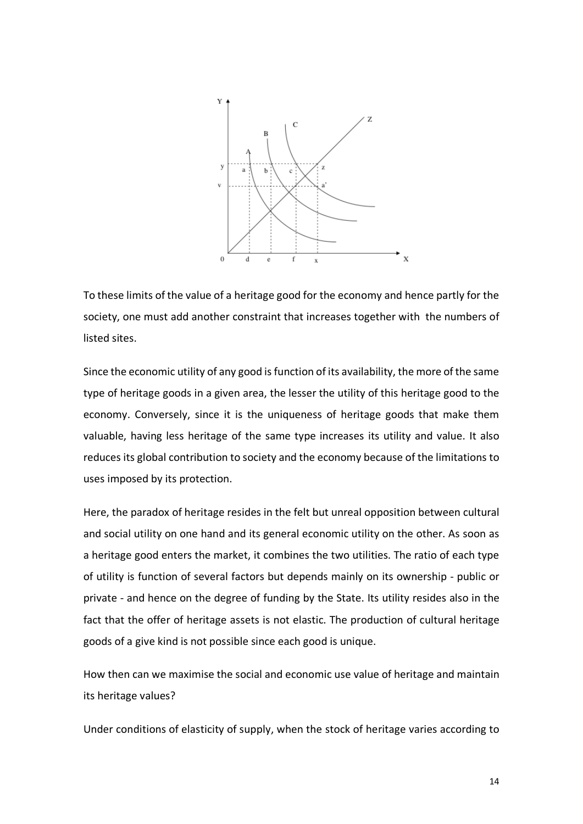

To these limits of the value of a heritage good for the economy and hence partly for the society, one must add another constraint that increases together with the numbers of listed sites.

Since the economic utility of any good is function of its availability, the more of the same type of heritage goods in a given area, the lesser the utility of this heritage good to the economy. Conversely, since it is the uniqueness of heritage goods that make them valuable, having less heritage of the same type increases its utility and value. It also reduces its global contribution to society and the economy because of the limitations to uses imposed by its protection.

Here, the paradox of heritage resides in the felt but unreal opposition between cultural and social utility on one hand and its general economic utility on the other. As soon as a heritage good enters the market, it combines the two utilities. The ratio of each type of utility is function of several factors but depends mainly on its ownership - public or private - and hence on the degree of funding by the State. Its utility resides also in the fact that the offer of heritage assets is not elastic. The production of cultural heritage goods of a give kind is not possible since each good is unique.

How then can we maximise the social and economic use value of heritage and maintain its heritage values?

Under conditions of elasticity of supply, when the stock of heritage varies according to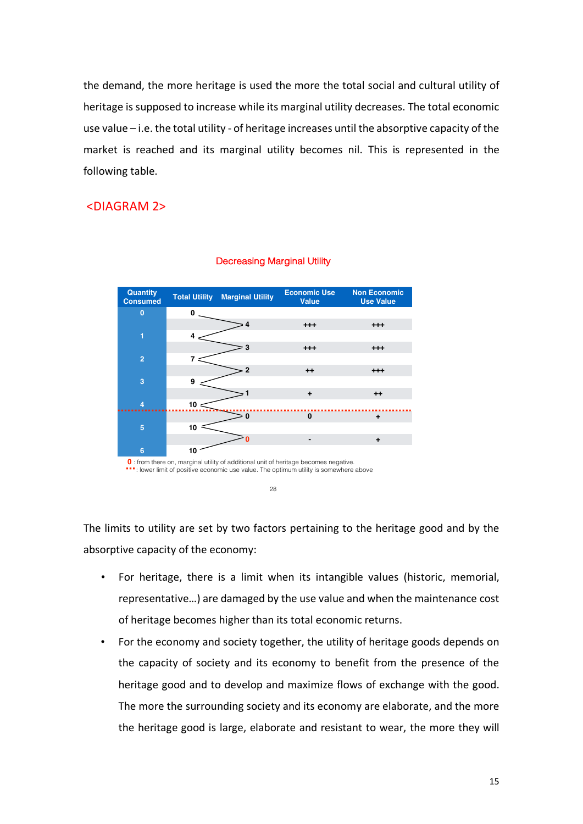the demand, the more heritage is used the more the total social and cultural utility of heritage is supposed to increase while its marginal utility decreases. The total economic use value – i.e. the total utility - of heritage increases until the absorptive capacity of the market is reached and its marginal utility becomes nil. This is represented in the following table.

## <DIAGRAM 2>



#### Decreasing Marginal Utility

The limits to utility are set by two factors pertaining to the heritage good and by the absorptive capacity of the economy:

- For heritage, there is a limit when its intangible values (historic, memorial, representative…) are damaged by the use value and when the maintenance cost of heritage becomes higher than its total economic returns.
- For the economy and society together, the utility of heritage goods depends on the capacity of society and its economy to benefit from the presence of the heritage good and to develop and maximize flows of exchange with the good. The more the surrounding society and its economy are elaborate, and the more the heritage good is large, elaborate and resistant to wear, the more they will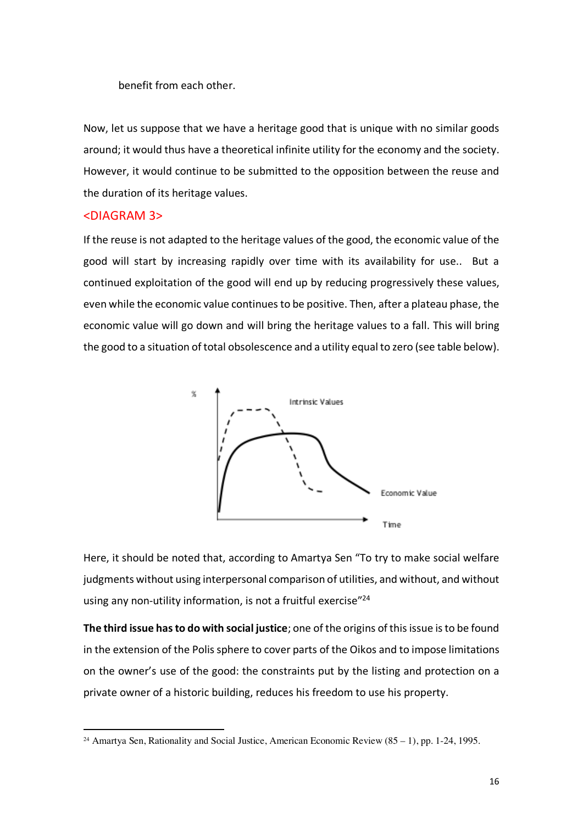benefit from each other.

Now, let us suppose that we have a heritage good that is unique with no similar goods around; it would thus have a theoretical infinite utility for the economy and the society. However, it would continue to be submitted to the opposition between the reuse and the duration of its heritage values.

#### <DIAGRAM 3>

 $\overline{a}$ 

If the reuse is not adapted to the heritage values of the good, the economic value of the good will start by increasing rapidly over time with its availability for use.. But a continued exploitation of the good will end up by reducing progressively these values, even while the economic value continues to be positive. Then, after a plateau phase, the economic value will go down and will bring the heritage values to a fall. This will bring the good to a situation of total obsolescence and a utility equal to zero (see table below).



Here, it should be noted that, according to Amartya Sen "To try to make social welfare judgments without using interpersonal comparison of utilities, and without, and without using any non-utility information, is not a fruitful exercise"<sup>24</sup>

**The third issue has to do with social justice**; one of the origins of this issue isto be found in the extension of the Polis sphere to cover parts of the Oikos and to impose limitations on the owner's use of the good: the constraints put by the listing and protection on a private owner of a historic building, reduces his freedom to use his property.

<sup>&</sup>lt;sup>24</sup> Amartya Sen, Rationality and Social Justice, American Economic Review  $(85 - 1)$ , pp. 1-24, 1995.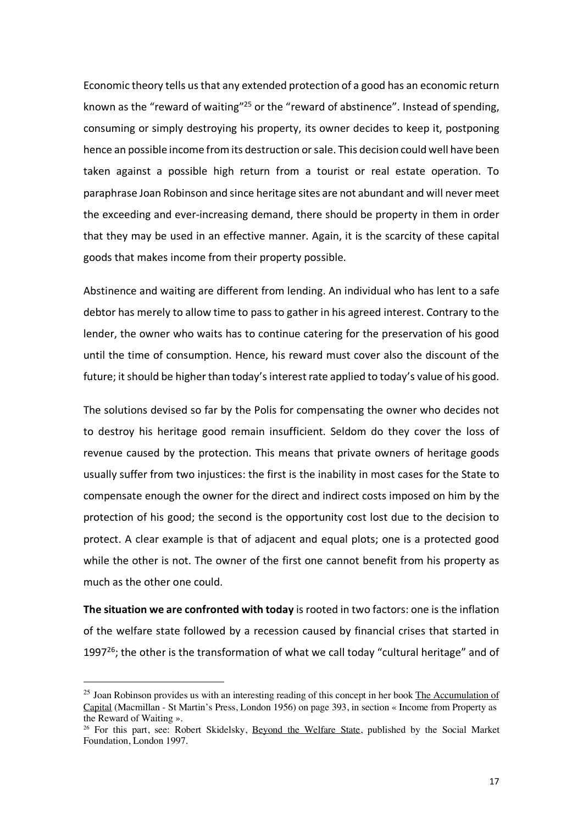Economic theory tells us that any extended protection of a good has an economic return known as the "reward of waiting"<sup>25</sup> or the "reward of abstinence". Instead of spending, consuming or simply destroying his property, its owner decides to keep it, postponing hence an possible income from its destruction or sale. This decision could well have been taken against a possible high return from a tourist or real estate operation. To paraphrase Joan Robinson and since heritage sites are not abundant and will never meet the exceeding and ever-increasing demand, there should be property in them in order that they may be used in an effective manner. Again, it is the scarcity of these capital goods that makes income from their property possible.

Abstinence and waiting are different from lending. An individual who has lent to a safe debtor has merely to allow time to pass to gather in his agreed interest. Contrary to the lender, the owner who waits has to continue catering for the preservation of his good until the time of consumption. Hence, his reward must cover also the discount of the future; it should be higher than today's interest rate applied to today's value of his good.

The solutions devised so far by the Polis for compensating the owner who decides not to destroy his heritage good remain insufficient. Seldom do they cover the loss of revenue caused by the protection. This means that private owners of heritage goods usually suffer from two injustices: the first is the inability in most cases for the State to compensate enough the owner for the direct and indirect costs imposed on him by the protection of his good; the second is the opportunity cost lost due to the decision to protect. A clear example is that of adjacent and equal plots; one is a protected good while the other is not. The owner of the first one cannot benefit from his property as much as the other one could.

**The situation we are confronted with today** is rooted in two factors: one is the inflation of the welfare state followed by a recession caused by financial crises that started in 1997 $^{26}$ ; the other is the transformation of what we call today "cultural heritage" and of

 $^{25}$  Joan Robinson provides us with an interesting reading of this concept in her book The Accumulation of Capital (Macmillan - St Martin's Press, London 1956) on page 393, in section « Income from Property as the Reward of Waiting ».

<sup>&</sup>lt;sup>26</sup> For this part, see: Robert Skidelsky, Beyond the Welfare State, published by the Social Market Foundation, London 1997.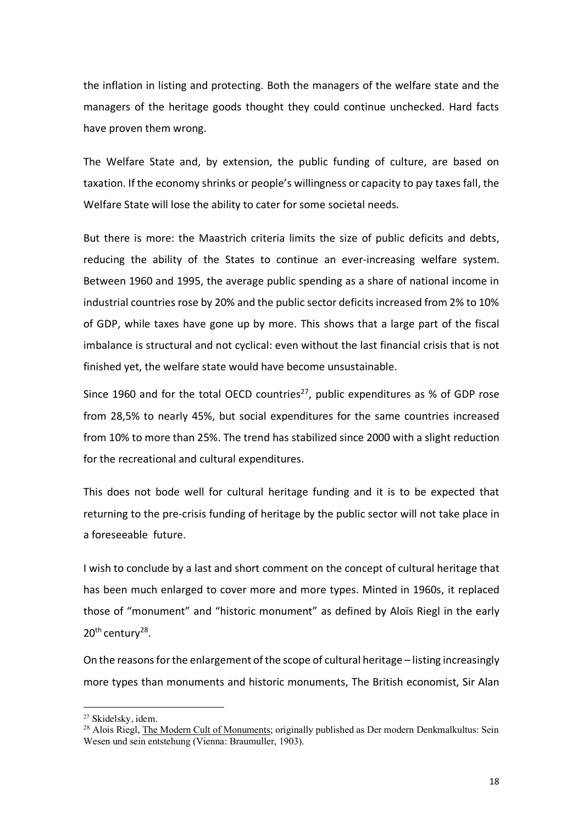the inflation in listing and protecting. Both the managers of the welfare state and the managers of the heritage goods thought they could continue unchecked. Hard facts have proven them wrong.

The Welfare State and, by extension, the public funding of culture, are based on taxation. If the economy shrinks or people's willingness or capacity to pay taxes fall, the Welfare State will lose the ability to cater for some societal needs.

But there is more: the Maastrich criteria limits the size of public deficits and debts, reducing the ability of the States to continue an ever-increasing welfare system. Between 1960 and 1995, the average public spending as a share of national income in industrial countries rose by 20% and the public sector deficits increased from 2% to 10% of GDP, while taxes have gone up by more. This shows that a large part of the fiscal imbalance is structural and not cyclical: even without the last financial crisis that is not finished yet, the welfare state would have become unsustainable.

Since 1960 and for the total OECD countries<sup>27</sup>, public expenditures as % of GDP rose from 28,5% to nearly 45%, but social expenditures for the same countries increased from 10% to more than 25%. The trend has stabilized since 2000 with a slight reduction for the recreational and cultural expenditures.

This does not bode well for cultural heritage funding and it is to be expected that returning to the pre-crisis funding of heritage by the public sector will not take place in a foreseeable future.

I wish to conclude by a last and short comment on the concept of cultural heritage that has been much enlarged to cover more and more types. Minted in 1960s, it replaced those of "monument" and "historic monument" as defined by Aloïs Riegl in the early 20<sup>th</sup> century<sup>28</sup>.

On the reasons for the enlargement of the scope of cultural heritage – listing increasingly more types than monuments and historic monuments, The British economist, Sir Alan

 $\overline{\phantom{a}}$ 

<sup>27</sup> Skidelsky, idem.

<sup>&</sup>lt;sup>28</sup> Alois Riegl, The Modern Cult of Monuments; originally published as Der modern Denkmalkultus: Sein Wesen und sein entstehung (Vienna: Braumuller, 1903).